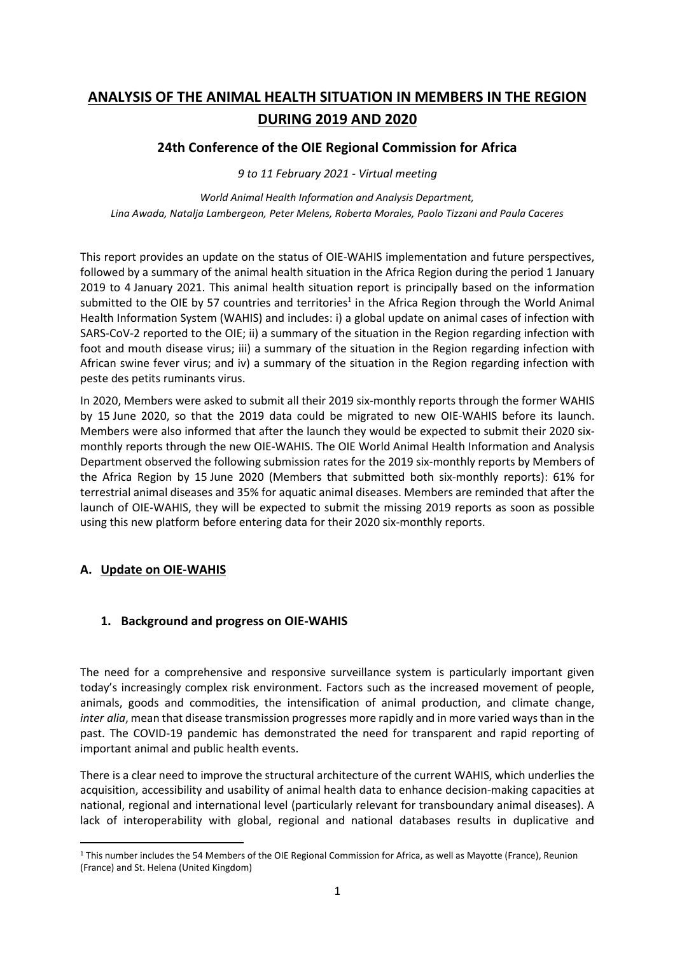# **ANALYSIS OF THE ANIMAL HEALTH SITUATION IN MEMBERS IN THE REGION DURING 2019 AND 2020**

**24th Conference of the OIE Regional Commission for Africa**

*9 to 11 February 2021 - Virtual meeting*

*World Animal Health Information and Analysis Department, Lina Awada, Natalja Lambergeon, Peter Melens, Roberta Morales, Paolo Tizzani and Paula Caceres*

This report provides an update on the status of OIE-WAHIS implementation and future perspectives, followed by a summary of the animal health situation in the Africa Region during the period 1 January 2019 to 4 January 2021. This animal health situation report is principally based on the information submitted to the OIE by 57 countries and territories<sup>1</sup> in the Africa Region through the World Animal Health Information System (WAHIS) and includes: i) a global update on animal cases of infection with SARS-CoV-2 reported to the OIE; ii) a summary of the situation in the Region regarding infection with foot and mouth disease virus; iii) a summary of the situation in the Region regarding infection with African swine fever virus; and iv) a summary of the situation in the Region regarding infection with peste des petits ruminants virus.

In 2020, Members were asked to submit all their 2019 six-monthly reports through the former WAHIS by 15 June 2020, so that the 2019 data could be migrated to new OIE-WAHIS before its launch. Members were also informed that after the launch they would be expected to submit their 2020 sixmonthly reports through the new OIE-WAHIS. The OIE World Animal Health Information and Analysis Department observed the following submission rates for the 2019 six-monthly reports by Members of the Africa Region by 15 June 2020 (Members that submitted both six-monthly reports): 61% for terrestrial animal diseases and 35% for aquatic animal diseases. Members are reminded that after the launch of OIE-WAHIS, they will be expected to submit the missing 2019 reports as soon as possible using this new platform before entering data for their 2020 six-monthly reports.

#### **A. Update on OIE-WAHIS**

#### **1. Background and progress on OIE-WAHIS**

The need for a comprehensive and responsive surveillance system is particularly important given today's increasingly complex risk environment. Factors such as the increased movement of people, animals, goods and commodities, the intensification of animal production, and climate change, *inter alia*, mean that disease transmission progresses more rapidly and in more varied ways than in the past. The COVID-19 pandemic has demonstrated the need for transparent and rapid reporting of important animal and public health events.

There is a clear need to improve the structural architecture of the current WAHIS, which underlies the acquisition, accessibility and usability of animal health data to enhance decision-making capacities at national, regional and international level (particularly relevant for transboundary animal diseases). A lack of interoperability with global, regional and national databases results in duplicative and

 $1$  This number includes the 54 Members of the OIE Regional Commission for Africa, as well as Mayotte (France), Reunion (France) and St. Helena (United Kingdom)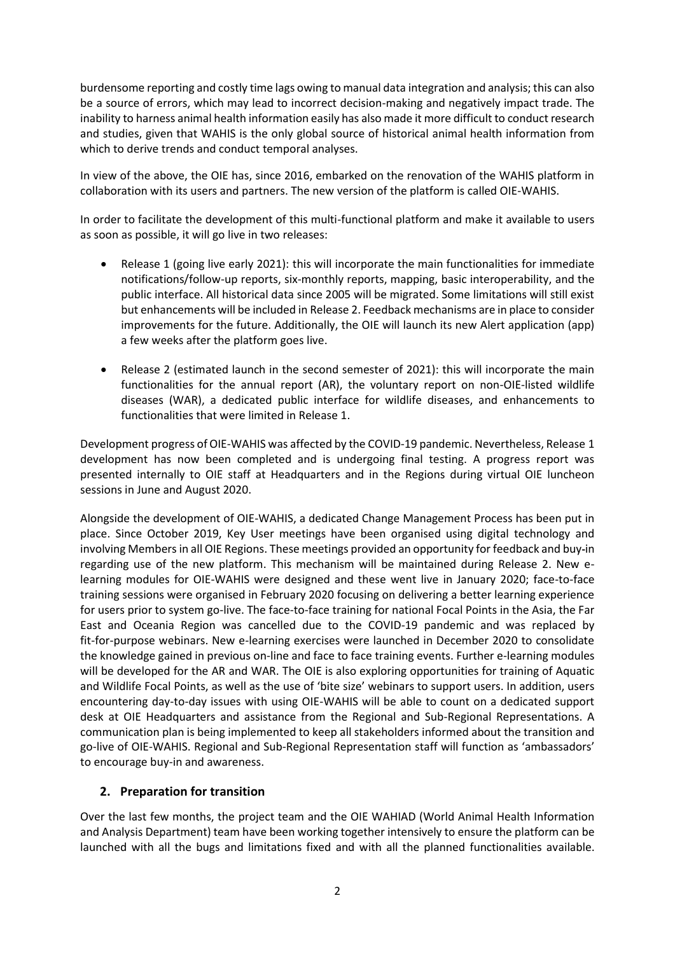burdensome reporting and costly time lags owing to manual data integration and analysis; this can also be a source of errors, which may lead to incorrect decision-making and negatively impact trade. The inability to harness animal health information easily has also made it more difficult to conduct research and studies, given that WAHIS is the only global source of historical animal health information from which to derive trends and conduct temporal analyses.

In view of the above, the OIE has, since 2016, embarked on the renovation of the WAHIS platform in collaboration with its users and partners. The new version of the platform is called OIE-WAHIS.

In order to facilitate the development of this multi-functional platform and make it available to users as soon as possible, it will go live in two releases:

- Release 1 (going live early 2021): this will incorporate the main functionalities for immediate notifications/follow-up reports, six-monthly reports, mapping, basic interoperability, and the public interface. All historical data since 2005 will be migrated. Some limitations will still exist but enhancements will be included in Release 2. Feedback mechanisms are in place to consider improvements for the future. Additionally, the OIE will launch its new Alert application (app) a few weeks after the platform goes live.
- Release 2 (estimated launch in the second semester of 2021): this will incorporate the main functionalities for the annual report (AR), the voluntary report on non-OIE-listed wildlife diseases (WAR), a dedicated public interface for wildlife diseases, and enhancements to functionalities that were limited in Release 1.

Development progress of OIE-WAHIS was affected by the COVID-19 pandemic. Nevertheless, Release 1 development has now been completed and is undergoing final testing. A progress report was presented internally to OIE staff at Headquarters and in the Regions during virtual OIE luncheon sessions in June and August 2020.

Alongside the development of OIE-WAHIS, a dedicated Change Management Process has been put in place. Since October 2019, Key User meetings have been organised using digital technology and involving Members in all OIE Regions. These meetings provided an opportunity for feedback and buy**-**in regarding use of the new platform. This mechanism will be maintained during Release 2. New elearning modules for OIE-WAHIS were designed and these went live in January 2020; face-to-face training sessions were organised in February 2020 focusing on delivering a better learning experience for users prior to system go-live. The face-to-face training for national Focal Points in the Asia, the Far East and Oceania Region was cancelled due to the COVID-19 pandemic and was replaced by fit-for-purpose webinars. New e-learning exercises were launched in December 2020 to consolidate the knowledge gained in previous on-line and face to face training events. Further e-learning modules will be developed for the AR and WAR. The OIE is also exploring opportunities for training of Aquatic and Wildlife Focal Points, as well as the use of 'bite size' webinars to support users. In addition, users encountering day-to-day issues with using OIE-WAHIS will be able to count on a dedicated support desk at OIE Headquarters and assistance from the Regional and Sub-Regional Representations. A communication plan is being implemented to keep all stakeholders informed about the transition and go-live of OIE-WAHIS. Regional and Sub-Regional Representation staff will function as 'ambassadors' to encourage buy-in and awareness.

#### **2. Preparation for transition**

Over the last few months, the project team and the OIE WAHIAD (World Animal Health Information and Analysis Department) team have been working together intensively to ensure the platform can be launched with all the bugs and limitations fixed and with all the planned functionalities available.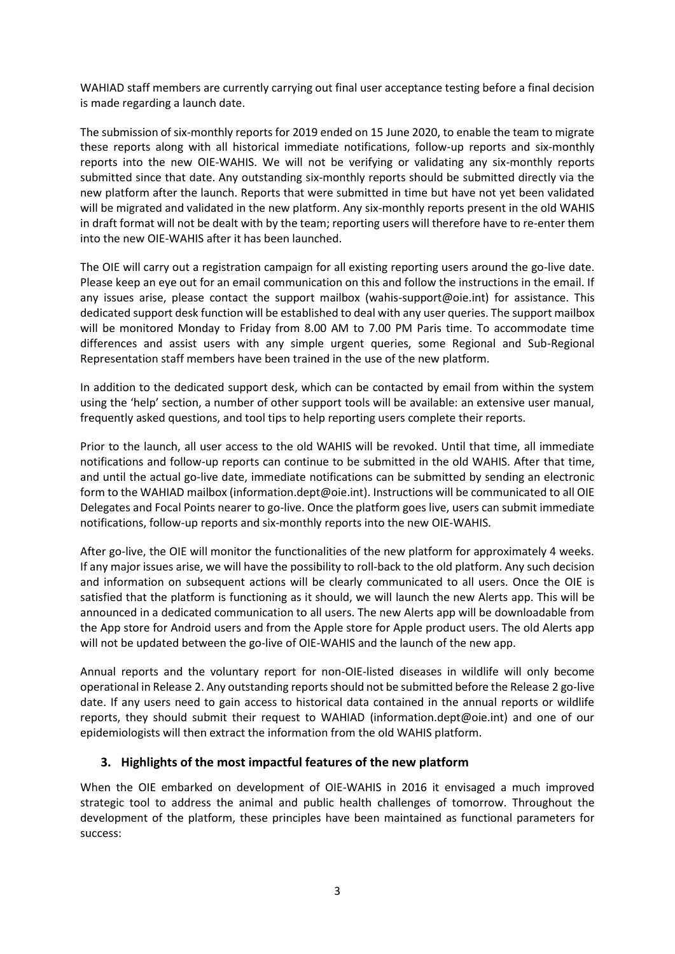WAHIAD staff members are currently carrying out final user acceptance testing before a final decision is made regarding a launch date.

The submission of six-monthly reports for 2019 ended on 15 June 2020, to enable the team to migrate these reports along with all historical immediate notifications, follow-up reports and six-monthly reports into the new OIE-WAHIS. We will not be verifying or validating any six-monthly reports submitted since that date. Any outstanding six-monthly reports should be submitted directly via the new platform after the launch. Reports that were submitted in time but have not yet been validated will be migrated and validated in the new platform. Any six-monthly reports present in the old WAHIS in draft format will not be dealt with by the team; reporting users will therefore have to re-enter them into the new OIE-WAHIS after it has been launched.

The OIE will carry out a registration campaign for all existing reporting users around the go-live date. Please keep an eye out for an email communication on this and follow the instructions in the email. If any issues arise, please contact the support mailbox (wahis-support@oie.int) for assistance. This dedicated support desk function will be established to deal with any user queries. The support mailbox will be monitored Monday to Friday from 8.00 AM to 7.00 PM Paris time. To accommodate time differences and assist users with any simple urgent queries, some Regional and Sub-Regional Representation staff members have been trained in the use of the new platform.

In addition to the dedicated support desk, which can be contacted by email from within the system using the 'help' section, a number of other support tools will be available: an extensive user manual, frequently asked questions, and tool tips to help reporting users complete their reports.

Prior to the launch, all user access to the old WAHIS will be revoked. Until that time, all immediate notifications and follow-up reports can continue to be submitted in the old WAHIS. After that time, and until the actual go-live date, immediate notifications can be submitted by sending an electronic form to the WAHIAD mailbox (information.dept@oie.int). Instructions will be communicated to all OIE Delegates and Focal Points nearer to go-live. Once the platform goes live, users can submit immediate notifications, follow-up reports and six-monthly reports into the new OIE-WAHIS.

After go-live, the OIE will monitor the functionalities of the new platform for approximately 4 weeks. If any major issues arise, we will have the possibility to roll-back to the old platform. Any such decision and information on subsequent actions will be clearly communicated to all users. Once the OIE is satisfied that the platform is functioning as it should, we will launch the new Alerts app. This will be announced in a dedicated communication to all users. The new Alerts app will be downloadable from the App store for Android users and from the Apple store for Apple product users. The old Alerts app will not be updated between the go-live of OIE-WAHIS and the launch of the new app.

Annual reports and the voluntary report for non-OIE-listed diseases in wildlife will only become operational in Release 2. Any outstanding reports should not be submitted before the Release 2 go-live date. If any users need to gain access to historical data contained in the annual reports or wildlife reports, they should submit their request to WAHIAD (information.dept@oie.int) and one of our epidemiologists will then extract the information from the old WAHIS platform.

#### **3. Highlights of the most impactful features of the new platform**

When the OIE embarked on development of OIE-WAHIS in 2016 it envisaged a much improved strategic tool to address the animal and public health challenges of tomorrow. Throughout the development of the platform, these principles have been maintained as functional parameters for success: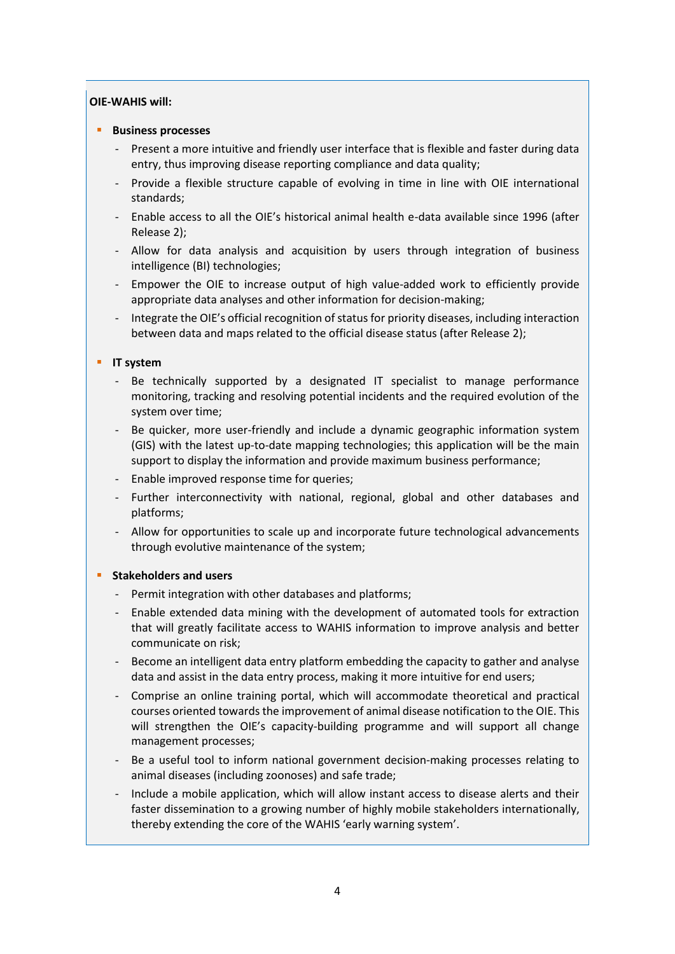#### **OIE-WAHIS will:**

#### ▪ **Business processes**

- Present a more intuitive and friendly user interface that is flexible and faster during data entry, thus improving disease reporting compliance and data quality;
- Provide a flexible structure capable of evolving in time in line with OIE international standards;
- Enable access to all the OIE's historical animal health e-data available since 1996 (after Release 2);
- Allow for data analysis and acquisition by users through integration of business intelligence (BI) technologies;
- Empower the OIE to increase output of high value-added work to efficiently provide appropriate data analyses and other information for decision-making;
- Integrate the OIE's official recognition of status for priority diseases, including interaction between data and maps related to the official disease status (after Release 2);

#### **IT system**

- Be technically supported by a designated IT specialist to manage performance monitoring, tracking and resolving potential incidents and the required evolution of the system over time;
- Be quicker, more user-friendly and include a dynamic geographic information system (GIS) with the latest up-to-date mapping technologies; this application will be the main support to display the information and provide maximum business performance;
- Enable improved response time for queries;
- Further interconnectivity with national, regional, global and other databases and platforms;
- Allow for opportunities to scale up and incorporate future technological advancements through evolutive maintenance of the system;

#### **Stakeholders and users**

- Permit integration with other databases and platforms;
- Enable extended data mining with the development of automated tools for extraction that will greatly facilitate access to WAHIS information to improve analysis and better communicate on risk;
- Become an intelligent data entry platform embedding the capacity to gather and analyse data and assist in the data entry process, making it more intuitive for end users;
- Comprise an online training portal, which will accommodate theoretical and practical courses oriented towards the improvement of animal disease notification to the OIE. This will strengthen the OIE's capacity-building programme and will support all change management processes;
- Be a useful tool to inform national government decision-making processes relating to animal diseases (including zoonoses) and safe trade;
- Include a mobile application, which will allow instant access to disease alerts and their faster dissemination to a growing number of highly mobile stakeholders internationally, thereby extending the core of the WAHIS 'early warning system'.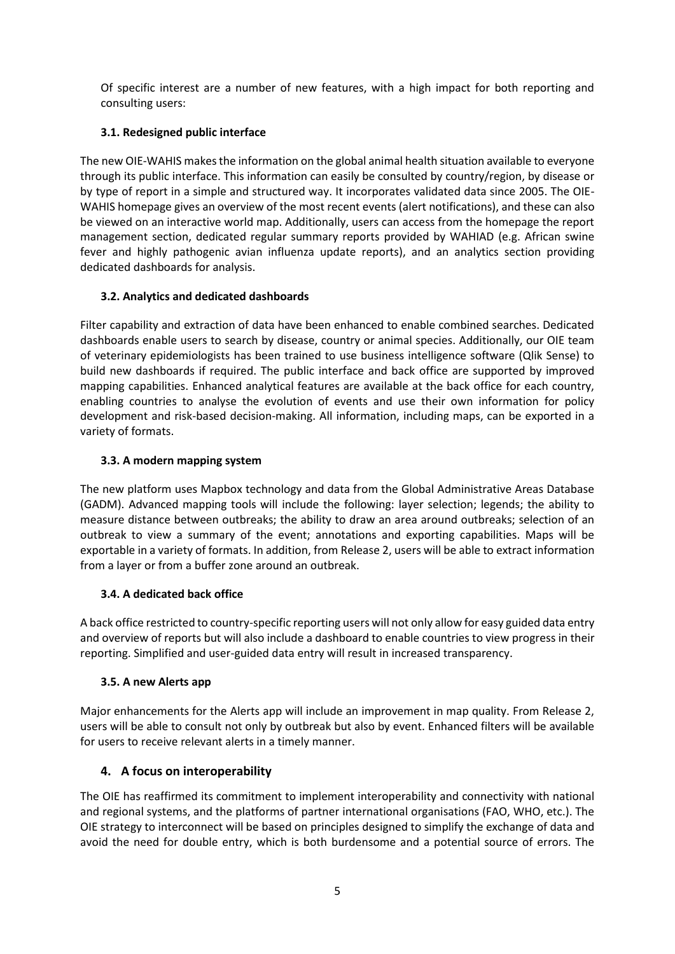Of specific interest are a number of new features, with a high impact for both reporting and consulting users:

### **3.1. Redesigned public interface**

The new OIE-WAHIS makes the information on the global animal health situation available to everyone through its public interface. This information can easily be consulted by country/region, by disease or by type of report in a simple and structured way. It incorporates validated data since 2005. The OIE-WAHIS homepage gives an overview of the most recent events (alert notifications), and these can also be viewed on an interactive world map. Additionally, users can access from the homepage the report management section, dedicated regular summary reports provided by WAHIAD (e.g. African swine fever and highly pathogenic avian influenza update reports), and an analytics section providing dedicated dashboards for analysis.

### **3.2. Analytics and dedicated dashboards**

Filter capability and extraction of data have been enhanced to enable combined searches. Dedicated dashboards enable users to search by disease, country or animal species. Additionally, our OIE team of veterinary epidemiologists has been trained to use business intelligence software (Qlik Sense) to build new dashboards if required. The public interface and back office are supported by improved mapping capabilities. Enhanced analytical features are available at the back office for each country, enabling countries to analyse the evolution of events and use their own information for policy development and risk-based decision-making. All information, including maps, can be exported in a variety of formats.

### **3.3. A modern mapping system**

The new platform uses Mapbox technology and data from the Global Administrative Areas Database (GADM). Advanced mapping tools will include the following: layer selection; legends; the ability to measure distance between outbreaks; the ability to draw an area around outbreaks; selection of an outbreak to view a summary of the event; annotations and exporting capabilities. Maps will be exportable in a variety of formats. In addition, from Release 2, users will be able to extract information from a layer or from a buffer zone around an outbreak.

#### **3.4. A dedicated back office**

A back office restricted to country-specific reporting users will not only allow for easy guided data entry and overview of reports but will also include a dashboard to enable countries to view progress in their reporting. Simplified and user-guided data entry will result in increased transparency.

#### **3.5. A new Alerts app**

Major enhancements for the Alerts app will include an improvement in map quality. From Release 2, users will be able to consult not only by outbreak but also by event. Enhanced filters will be available for users to receive relevant alerts in a timely manner.

### **4. A focus on interoperability**

The OIE has reaffirmed its commitment to implement interoperability and connectivity with national and regional systems, and the platforms of partner international organisations (FAO, WHO, etc.). The OIE strategy to interconnect will be based on principles designed to simplify the exchange of data and avoid the need for double entry, which is both burdensome and a potential source of errors. The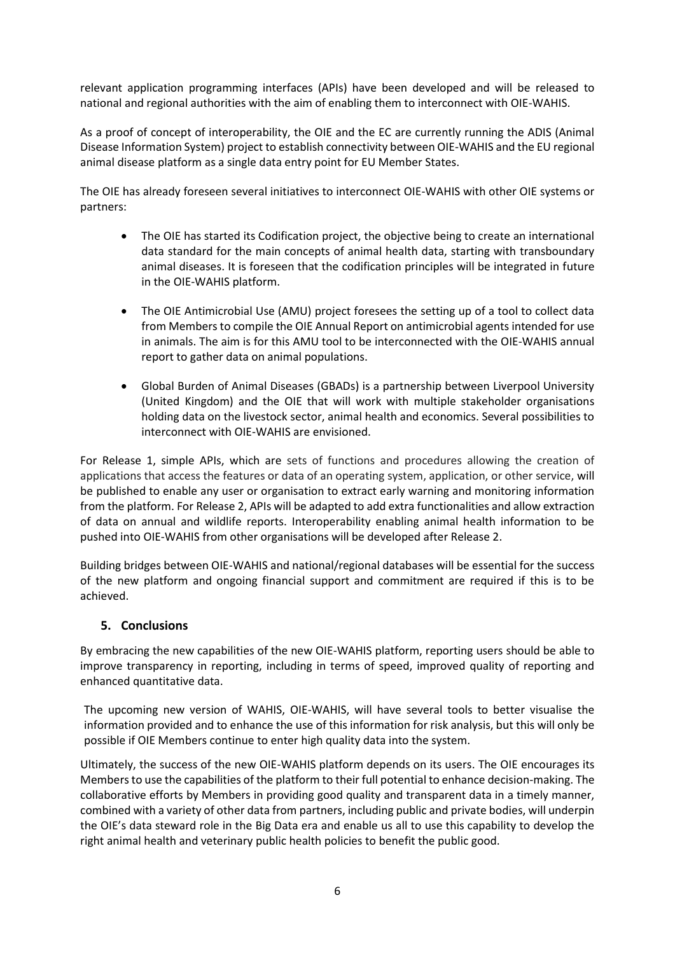relevant application programming interfaces (APIs) have been developed and will be released to national and regional authorities with the aim of enabling them to interconnect with OIE-WAHIS.

As a proof of concept of interoperability, the OIE and the EC are currently running the ADIS (Animal Disease Information System) project to establish connectivity between OIE-WAHIS and the EU regional animal disease platform as a single data entry point for EU Member States.

The OIE has already foreseen several initiatives to interconnect OIE-WAHIS with other OIE systems or partners:

- The OIE has started its Codification project, the objective being to create an international data standard for the main concepts of animal health data, starting with transboundary animal diseases. It is foreseen that the codification principles will be integrated in future in the OIE-WAHIS platform.
- The OIE Antimicrobial Use (AMU) project foresees the setting up of a tool to collect data from Members to compile the OIE Annual Report on antimicrobial agents intended for use in animals. The aim is for this AMU tool to be interconnected with the OIE-WAHIS annual report to gather data on animal populations.
- Global Burden of Animal Diseases (GBADs) is a partnership between Liverpool University (United Kingdom) and the OIE that will work with multiple stakeholder organisations holding data on the livestock sector, animal health and economics. Several possibilities to interconnect with OIE-WAHIS are envisioned.

For Release 1, simple APIs, which are sets of functions and procedures allowing the creation of applications that access the features or data of an operating system, application, or other service, will be published to enable any user or organisation to extract early warning and monitoring information from the platform. For Release 2, APIs will be adapted to add extra functionalities and allow extraction of data on annual and wildlife reports. Interoperability enabling animal health information to be pushed into OIE-WAHIS from other organisations will be developed after Release 2.

Building bridges between OIE-WAHIS and national/regional databases will be essential for the success of the new platform and ongoing financial support and commitment are required if this is to be achieved.

#### **5. Conclusions**

By embracing the new capabilities of the new OIE-WAHIS platform, reporting users should be able to improve transparency in reporting, including in terms of speed, improved quality of reporting and enhanced quantitative data.

The upcoming new version of WAHIS, OIE-WAHIS, will have several tools to better visualise the information provided and to enhance the use of this information for risk analysis, but this will only be possible if OIE Members continue to enter high quality data into the system.

Ultimately, the success of the new OIE-WAHIS platform depends on its users. The OIE encourages its Members to use the capabilities of the platform to their full potential to enhance decision-making. The collaborative efforts by Members in providing good quality and transparent data in a timely manner, combined with a variety of other data from partners, including public and private bodies, will underpin the OIE's data steward role in the Big Data era and enable us all to use this capability to develop the right animal health and veterinary public health policies to benefit the public good.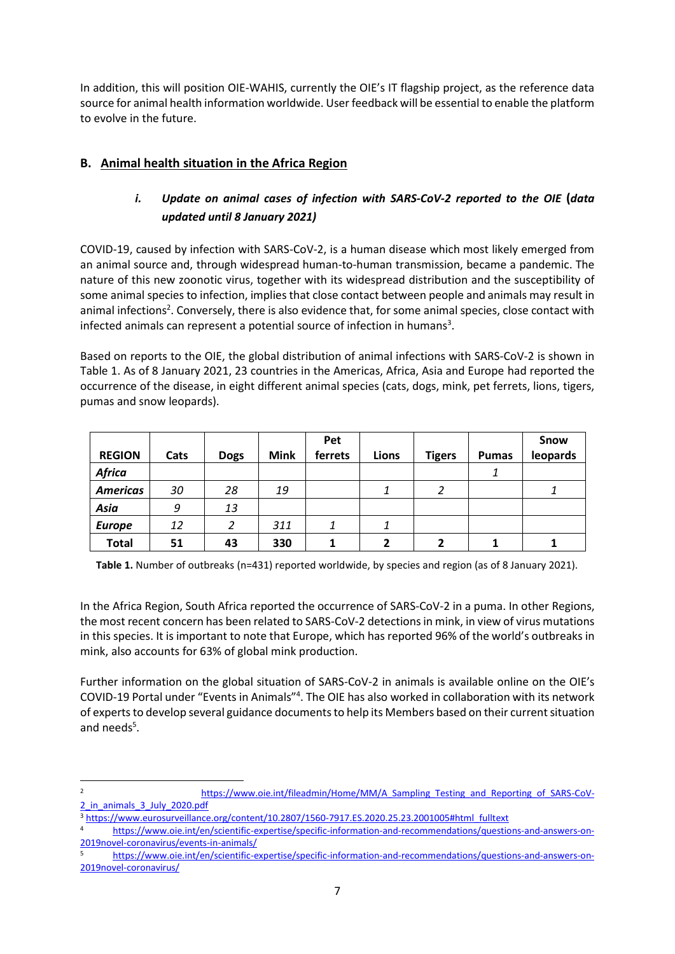In addition, this will position OIE-WAHIS, currently the OIE's IT flagship project, as the reference data source for animal health information worldwide. User feedback will be essential to enable the platform to evolve in the future.

# **B. Animal health situation in the Africa Region**

# *i. Update on animal cases of infection with SARS-CoV-2 reported to the OIE* **(***data updated until 8 January 2021)*

COVID-19, caused by infection with SARS-CoV-2, is a human disease which most likely emerged from an animal source and, through widespread human-to-human transmission, became a pandemic. The nature of this new zoonotic virus, together with its widespread distribution and the susceptibility of some animal species to infection, implies that close contact between people and animals may result in animal infections<sup>2</sup>. Conversely, there is also evidence that, for some animal species, close contact with infected animals can represent a potential source of infection in humans<sup>3</sup>.

Based on reports to the OIE, the global distribution of animal infections with SARS-CoV-2 is shown in Table 1. As of 8 January 2021, 23 countries in the Americas, Africa, Asia and Europe had reported the occurrence of the disease, in eight different animal species (cats, dogs, mink, pet ferrets, lions, tigers, pumas and snow leopards).

|                 |      |             |             | Pet     |       |               |              | Snow     |
|-----------------|------|-------------|-------------|---------|-------|---------------|--------------|----------|
| <b>REGION</b>   | Cats | <b>Dogs</b> | <b>Mink</b> | ferrets | Lions | <b>Tigers</b> | <b>Pumas</b> | leopards |
| <b>Africa</b>   |      |             |             |         |       |               |              |          |
| <b>Americas</b> | 30   | 28          | 19          |         | 1     | 2             |              | 1        |
| Asia            | 9    | 13          |             |         |       |               |              |          |
| <b>Europe</b>   | 12   | 2           | 311         |         | 1     |               |              |          |
| <b>Total</b>    | 51   | 43          | 330         |         | 2     |               |              |          |

**Table 1.** Number of outbreaks (n=431) reported worldwide, by species and region (as of 8 January 2021).

In the Africa Region, South Africa reported the occurrence of SARS-CoV-2 in a puma. In other Regions, the most recent concern has been related to SARS-CoV-2 detections in mink, in view of virus mutations in this species. It is important to note that Europe, which has reported 96% of the world's outbreaks in mink, also accounts for 63% of global mink production.

Further information on the global situation of SARS-CoV-2 in animals is available online on the OIE's COVID-19 Portal under "Events in Animals"<sup>4</sup>. The OIE has also worked in collaboration with its network of experts to develop several guidance documents to help its Members based on their current situation and needs<sup>5</sup>.

<sup>2</sup> [https://www.oie.int/fileadmin/Home/MM/A\\_Sampling\\_Testing\\_and\\_Reporting\\_of\\_SARS-CoV-](https://www.oie.int/fileadmin/Home/MM/A_Sampling_Testing_and_Reporting_of_SARS-CoV-2_in_animals_3_July_2020.pdf)[2\\_in\\_animals\\_3\\_July\\_2020.pdf](https://www.oie.int/fileadmin/Home/MM/A_Sampling_Testing_and_Reporting_of_SARS-CoV-2_in_animals_3_July_2020.pdf)

<sup>3</sup> [https://www.eurosurveillance.org/content/10.2807/1560-7917.ES.2020.25.23.2001005#html\\_fulltext](https://www.eurosurveillance.org/content/10.2807/1560-7917.ES.2020.25.23.2001005#html_fulltext)

<sup>4</sup> [https://www.oie.int/en/scientific-expertise/specific-information-and-recommendations/questions-and-answers-on-](https://www.oie.int/en/scientific-expertise/specific-information-and-recommendations/questions-and-answers-on-2019novel-coronavirus/events-in-animals/)[2019novel-coronavirus/events-in-animals/](https://www.oie.int/en/scientific-expertise/specific-information-and-recommendations/questions-and-answers-on-2019novel-coronavirus/events-in-animals/)

<sup>5</sup> [https://www.oie.int/en/scientific-expertise/specific-information-and-recommendations/questions-and-answers-on-](https://www.oie.int/en/scientific-expertise/specific-information-and-recommendations/questions-and-answers-on-2019novel-coronavirus/)[2019novel-coronavirus/](https://www.oie.int/en/scientific-expertise/specific-information-and-recommendations/questions-and-answers-on-2019novel-coronavirus/)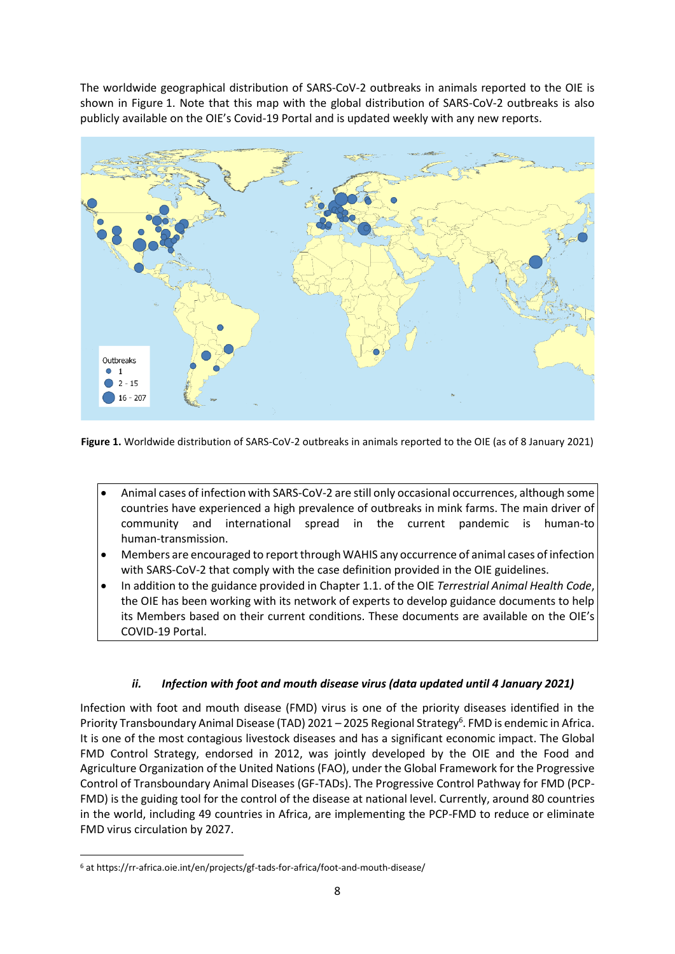The worldwide geographical distribution of SARS-CoV-2 outbreaks in animals reported to the OIE is shown in Figure 1. Note that this map with the global distribution of SARS-CoV-2 outbreaks is also publicly available on the OIE's Covid-19 Portal and is updated weekly with any new reports.



**Figure 1.** Worldwide distribution of SARS-CoV-2 outbreaks in animals reported to the OIE (as of 8 January 2021)

- Animal cases of infection with SARS-CoV-2 are still only occasional occurrences, although some countries have experienced a high prevalence of outbreaks in mink farms. The main driver of community and international spread in the current pandemic is human-to human-transmission.
- Members are encouraged to report through WAHIS any occurrence of animal cases of infection with SARS-CoV-2 that comply with the case definition provided in the OIE guidelines.
- In addition to the guidance provided in Chapter 1.1. of the OIE *Terrestrial Animal Health Code*, the OIE has been working with its network of experts to develop guidance documents to help its Members based on their current conditions. These documents are available on the OIE's COVID-19 Portal.

#### *ii. Infection with foot and mouth disease virus (data updated until 4 January 2021)*

Infection with foot and mouth disease (FMD) virus is one of the priority diseases identified in the Priority Transboundary Animal Disease (TAD) 2021 - 2025 Regional Strategy<sup>6</sup>. FMD is endemic in Africa. It is one of the most contagious livestock diseases and has a significant economic impact. The Global FMD Control Strategy, endorsed in 2012, was jointly developed by the OIE and the Food and Agriculture Organization of the United Nations (FAO), under the Global Framework for the Progressive Control of Transboundary Animal Diseases (GF-TADs). The Progressive Control Pathway for FMD (PCP-FMD) is the guiding tool for the control of the disease at national level. Currently, around 80 countries in the world, including 49 countries in Africa, are implementing the PCP-FMD to reduce or eliminate FMD virus circulation by 2027.

<sup>6</sup> at https://rr-africa.oie.int/en/projects/gf-tads-for-africa/foot-and-mouth-disease/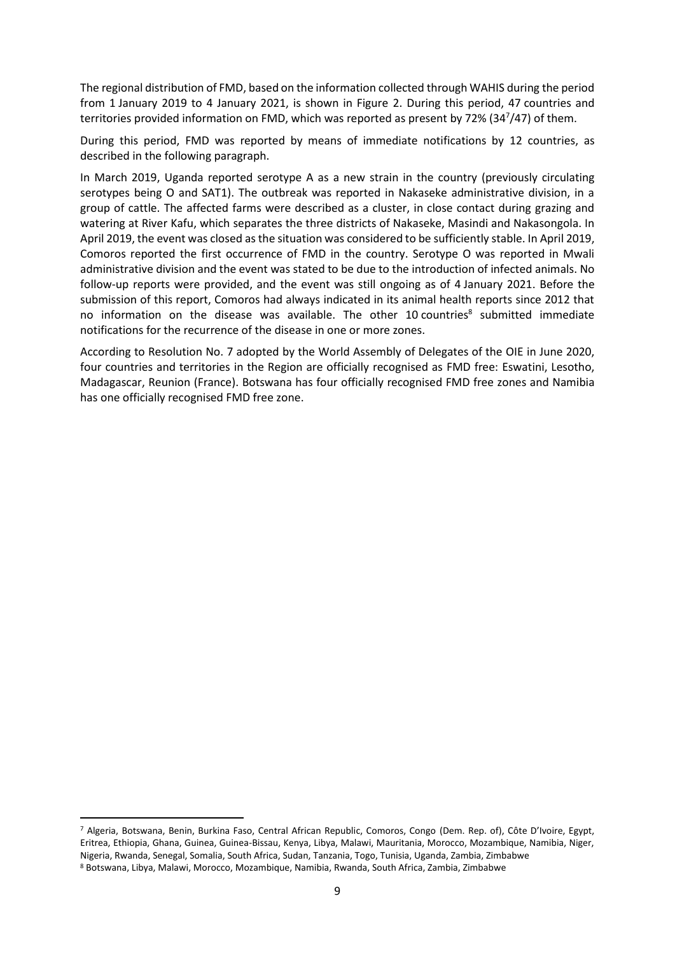The regional distribution of FMD, based on the information collected through WAHIS during the period from 1 January 2019 to 4 January 2021, is shown in Figure 2. During this period, 47 countries and territories provided information on FMD, which was reported as present by 72% (34<sup>7</sup> /47) of them.

During this period, FMD was reported by means of immediate notifications by 12 countries, as described in the following paragraph.

In March 2019, Uganda reported serotype A as a new strain in the country (previously circulating serotypes being O and SAT1). The outbreak was reported in Nakaseke administrative division, in a group of cattle. The affected farms were described as a cluster, in close contact during grazing and watering at River Kafu, which separates the three districts of Nakaseke, Masindi and Nakasongola. In April 2019, the event was closed as the situation was considered to be sufficiently stable. In April 2019, Comoros reported the first occurrence of FMD in the country. Serotype O was reported in Mwali administrative division and the event was stated to be due to the introduction of infected animals. No follow-up reports were provided, and the event was still ongoing as of 4 January 2021. Before the submission of this report, Comoros had always indicated in its animal health reports since 2012 that no information on the disease was available. The other 10 countries<sup>8</sup> submitted immediate notifications for the recurrence of the disease in one or more zones.

According to Resolution No. 7 adopted by the World Assembly of Delegates of the OIE in June 2020, four countries and territories in the Region are officially recognised as FMD free: Eswatini, Lesotho, Madagascar, Reunion (France). Botswana has four officially recognised FMD free zones and Namibia has one officially recognised FMD free zone.

<sup>7</sup> Algeria, Botswana, Benin, Burkina Faso, Central African Republic, Comoros, Congo (Dem. Rep. of), Côte D'Ivoire, Egypt, Eritrea, Ethiopia, Ghana, Guinea, Guinea-Bissau, Kenya, Libya, Malawi, Mauritania, Morocco, Mozambique, Namibia, Niger, Nigeria, Rwanda, Senegal, Somalia, South Africa, Sudan, Tanzania, Togo, Tunisia, Uganda, Zambia, Zimbabwe <sup>8</sup> Botswana, Libya, Malawi, Morocco, Mozambique, Namibia, Rwanda, South Africa, Zambia, Zimbabwe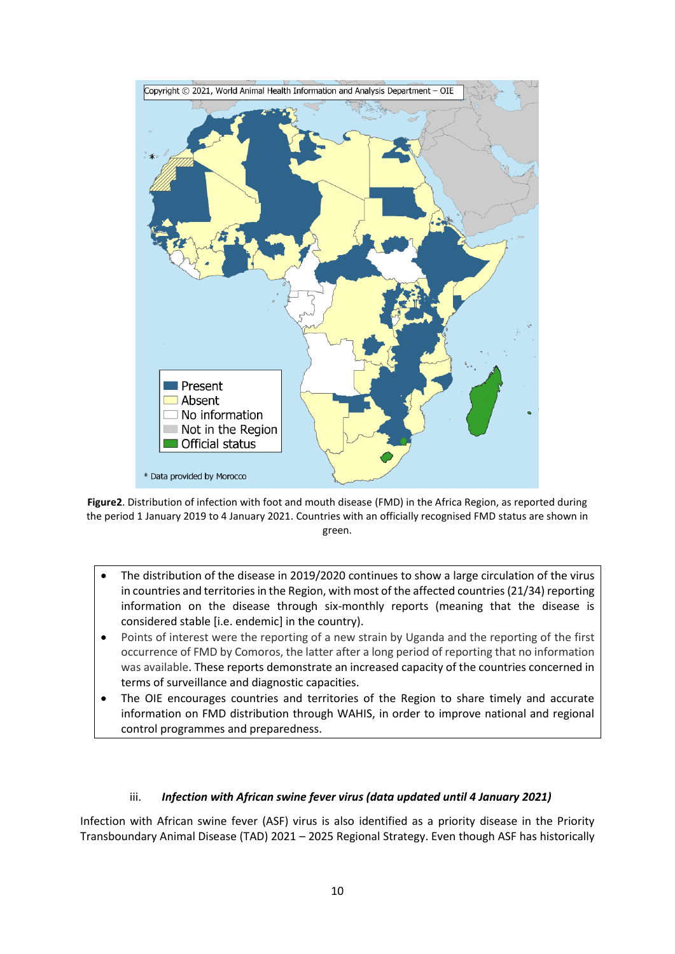

**Figure2**. Distribution of infection with foot and mouth disease (FMD) in the Africa Region, as reported during the period 1 January 2019 to 4 January 2021. Countries with an officially recognised FMD status are shown in green.

- The distribution of the disease in 2019/2020 continues to show a large circulation of the virus in countries and territories in the Region, with most of the affected countries (21/34) reporting information on the disease through six-monthly reports (meaning that the disease is considered stable [i.e. endemic] in the country).
- Points of interest were the reporting of a new strain by Uganda and the reporting of the first occurrence of FMD by Comoros, the latter after a long period of reporting that no information was available. These reports demonstrate an increased capacity of the countries concerned in terms of surveillance and diagnostic capacities.
- The OIE encourages countries and territories of the Region to share timely and accurate information on FMD distribution through WAHIS, in order to improve national and regional control programmes and preparedness.

#### iii. *Infection with African swine fever virus (data updated until 4 January 2021)*

Infection with African swine fever (ASF) virus is also identified as a priority disease in the Priority Transboundary Animal Disease (TAD) 2021 – 2025 Regional Strategy. Even though ASF has historically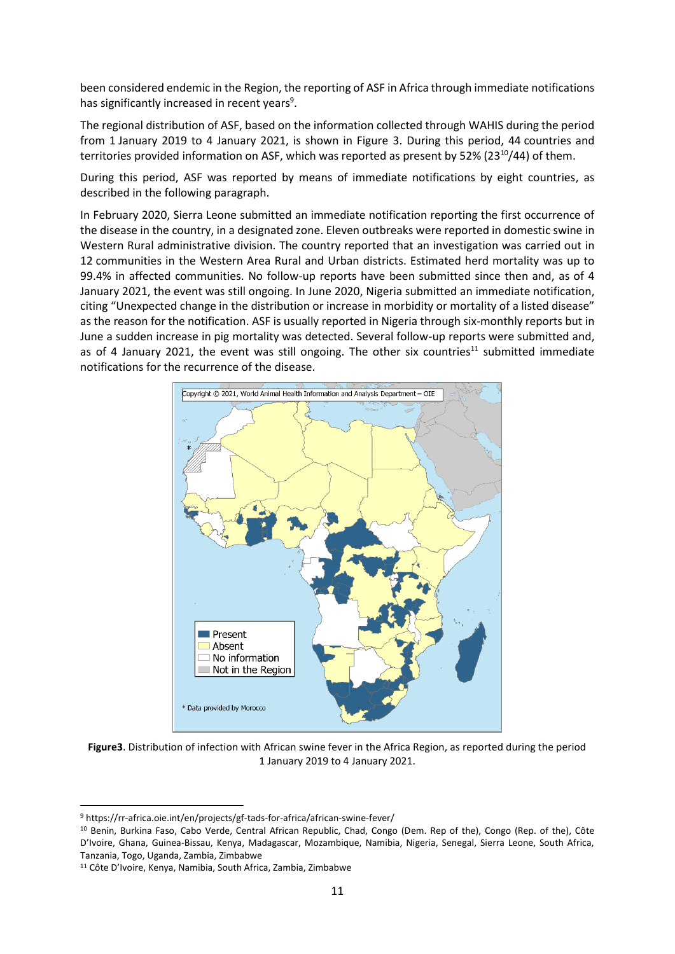been considered endemic in the Region, the reporting of ASF in Africa through immediate notifications has significantly increased in recent years<sup>9</sup>.

The regional distribution of ASF, based on the information collected through WAHIS during the period from 1 January 2019 to 4 January 2021, is shown in Figure 3. During this period, 44 countries and territories provided information on ASF, which was reported as present by  $52\%$  ( $23^{10}/44$ ) of them.

During this period, ASF was reported by means of immediate notifications by eight countries, as described in the following paragraph.

In February 2020, Sierra Leone submitted an immediate notification reporting the first occurrence of the disease in the country, in a designated zone. Eleven outbreaks were reported in domestic swine in Western Rural administrative division. The country reported that an investigation was carried out in 12 communities in the Western Area Rural and Urban districts. Estimated herd mortality was up to 99.4% in affected communities. No follow-up reports have been submitted since then and, as of 4 January 2021, the event was still ongoing. In June 2020, Nigeria submitted an immediate notification, citing "Unexpected change in the distribution or increase in morbidity or mortality of a listed disease" as the reason for the notification. ASF is usually reported in Nigeria through six-monthly reports but in June a sudden increase in pig mortality was detected. Several follow-up reports were submitted and, as of 4 January 2021, the event was still ongoing. The other six countries<sup>11</sup> submitted immediate notifications for the recurrence of the disease.



**Figure3**. Distribution of infection with African swine fever in the Africa Region, as reported during the period 1 January 2019 to 4 January 2021.

<sup>9</sup> https://rr-africa.oie.int/en/projects/gf-tads-for-africa/african-swine-fever/

<sup>&</sup>lt;sup>10</sup> Benin, Burkina Faso, Cabo Verde, Central African Republic, Chad, Congo (Dem. Rep of the), Congo (Rep. of the), Côte D'Ivoire, Ghana, Guinea-Bissau, Kenya, Madagascar, Mozambique, Namibia, Nigeria, Senegal, Sierra Leone, South Africa, Tanzania, Togo, Uganda, Zambia, Zimbabwe

<sup>11</sup> Côte D'Ivoire, Kenya, Namibia, South Africa, Zambia, Zimbabwe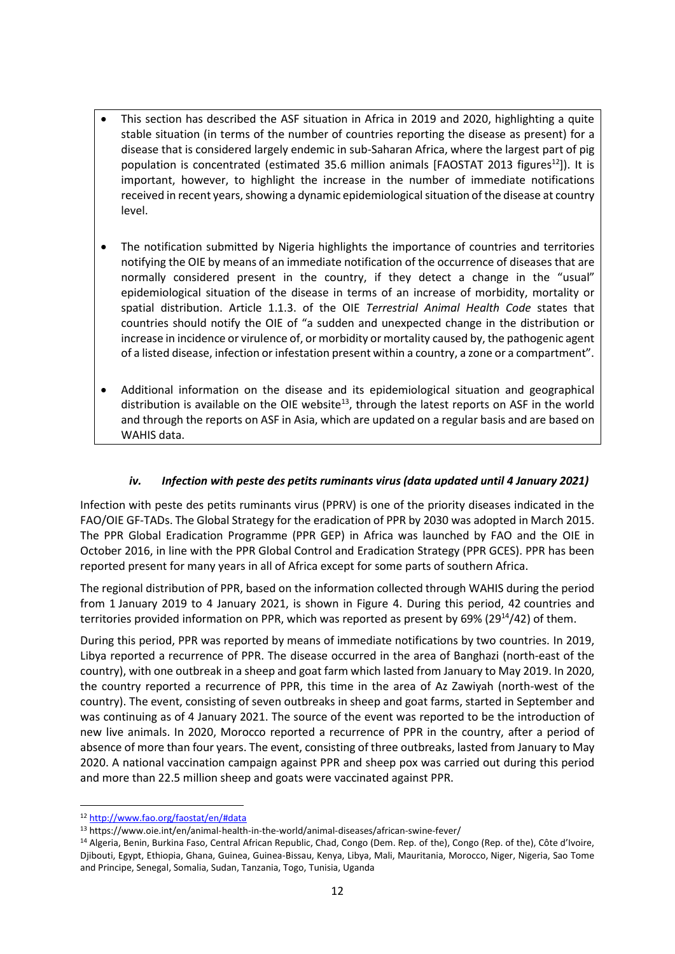- This section has described the ASF situation in Africa in 2019 and 2020, highlighting a quite stable situation (in terms of the number of countries reporting the disease as present) for a disease that is considered largely endemic in sub-Saharan Africa, where the largest part of pig population is concentrated (estimated 35.6 million animals [FAOSTAT 2013 figures<sup>12</sup>]). It is important, however, to highlight the increase in the number of immediate notifications received in recent years, showing a dynamic epidemiological situation of the disease at country level.
- The notification submitted by Nigeria highlights the importance of countries and territories notifying the OIE by means of an immediate notification of the occurrence of diseases that are normally considered present in the country, if they detect a change in the "usual" epidemiological situation of the disease in terms of an increase of morbidity, mortality or spatial distribution. Article 1.1.3. of the OIE *Terrestrial Animal Health Code* states that countries should notify the OIE of "a sudden and unexpected change in the distribution or increase in incidence or virulence of, or morbidity or mortality caused by, the pathogenic agent of a listed disease, infection or infestation present within a country, a zone or a compartment".
- Additional information on the disease and its epidemiological situation and geographical distribution is available on the OIE website<sup>13</sup>, through the latest reports on ASF in the world and through the reports on ASF in Asia, which are updated on a regular basis and are based on WAHIS data.

#### *iv. Infection with peste des petits ruminants virus (data updated until 4 January 2021)*

Infection with peste des petits ruminants virus (PPRV) is one of the priority diseases indicated in the FAO/OIE GF-TADs. The Global Strategy for the eradication of PPR by 2030 was adopted in March 2015. The PPR Global Eradication Programme (PPR GEP) in Africa was launched by FAO and the OIE in October 2016, in line with the PPR Global Control and Eradication Strategy (PPR GCES). PPR has been reported present for many years in all of Africa except for some parts of southern Africa.

The regional distribution of PPR, based on the information collected through WAHIS during the period from 1 January 2019 to 4 January 2021, is shown in Figure 4. During this period, 42 countries and territories provided information on PPR, which was reported as present by 69% (29 $^{14}$ /42) of them.

During this period, PPR was reported by means of immediate notifications by two countries. In 2019, Libya reported a recurrence of PPR. The disease occurred in the area of Banghazi (north-east of the country), with one outbreak in a sheep and goat farm which lasted from January to May 2019. In 2020, the country reported a recurrence of PPR, this time in the area of Az Zawiyah (north-west of the country). The event, consisting of seven outbreaks in sheep and goat farms, started in September and was continuing as of 4 January 2021. The source of the event was reported to be the introduction of new live animals. In 2020, Morocco reported a recurrence of PPR in the country, after a period of absence of more than four years. The event, consisting of three outbreaks, lasted from January to May 2020. A national vaccination campaign against PPR and sheep pox was carried out during this period and more than 22.5 million sheep and goats were vaccinated against PPR.

<sup>12</sup> <http://www.fao.org/faostat/en/#data>

<sup>13</sup> https://www.oie.int/en/animal-health-in-the-world/animal-diseases/african-swine-fever/

<sup>14</sup> Algeria, Benin, Burkina Faso, Central African Republic, Chad, Congo (Dem. Rep. of the), Congo (Rep. of the), Côte d'Ivoire, Djibouti, Egypt, Ethiopia, Ghana, Guinea, Guinea-Bissau, Kenya, Libya, Mali, Mauritania, Morocco, Niger, Nigeria, Sao Tome and Principe, Senegal, Somalia, Sudan, Tanzania, Togo, Tunisia, Uganda